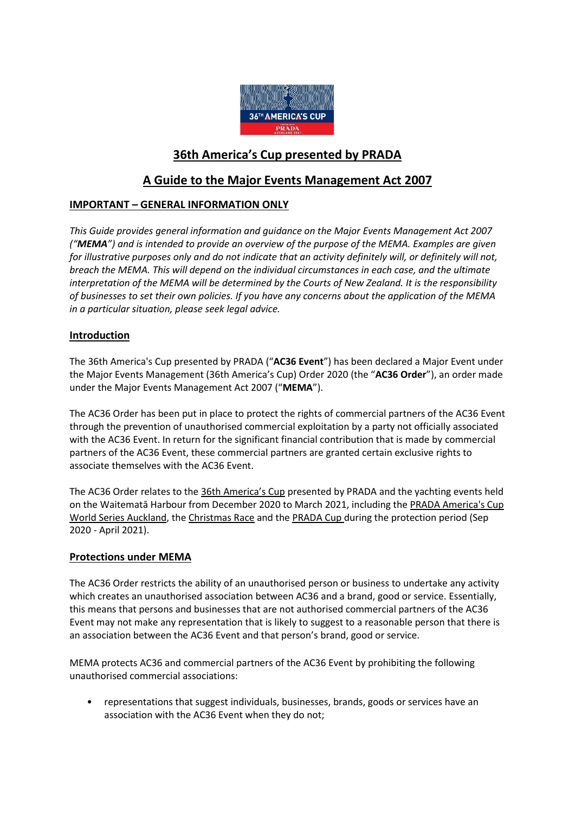

# **36th America's Cup presented by PRADA**

# **A Guide to the Major Events Management Act 2007**

# **IMPORTANT – GENERAL INFORMATION ONLY**

*This Guide provides general information and guidance on the Major Events Management Act 2007 ("MEMA") and is intended to provide an overview of the purpose of the MEMA. Examples are given for illustrative purposes only and do not indicate that an activity definitely will, or definitely will not, breach the MEMA. This will depend on the individual circumstances in each case, and the ultimate interpretation of the MEMA will be determined by the Courts of New Zealand. It is the responsibility of businesses to set their own policies. If you have any concerns about the application of the MEMA in a particular situation, please seek legal advice.*

### **Introduction**

The 36th America's Cup presented by PRADA ("**AC36 Event**") has been declared a Major Event under the Major Events Management (36th America's Cup) Order 2020 (the "**AC36 Order**"), an order made under the Major Events Management Act 2007 ("**MEMA**").

The AC36 Order has been put in place to protect the rights of commercial partners of the AC36 Event through the prevention of unauthorised commercial exploitation by a party not officially associated with the AC36 Event. In return for the significant financial contribution that is made by commercial partners of the AC36 Event, these commercial partners are granted certain exclusive rights to associate themselves with the AC36 Event.

The AC36 Order relates to the [36th America's Cup](https://www.aucklandnz.com/36th-americas-cup/how-to-watch-the-race) presented by PRADA and the yachting events held on the Waitematā Harbour from December 2020 to March 2021, including the PRADA [America's Cup](https://www.aucklandnz.com/36th-americas-cup/how-to-watch-the-race)  [World Series Auckland,](https://www.aucklandnz.com/36th-americas-cup/how-to-watch-the-race) the Christmas Race and th[e PRADA Cup](https://www.aucklandnz.com/36th-americas-cup/how-to-watch-the-race) during the protection period (Sep 2020 - April 2021).

## **Protections under MEMA**

The AC36 Order restricts the ability of an unauthorised person or business to undertake any activity which creates an unauthorised association between AC36 and a brand, good or service. Essentially, this means that persons and businesses that are not authorised commercial partners of the AC36 Event may not make any representation that is likely to suggest to a reasonable person that there is an association between the AC36 Event and that person's brand, good or service.

MEMA protects AC36 and commercial partners of the AC36 Event by prohibiting the following unauthorised commercial associations:

• representations that suggest individuals, businesses, brands, goods or services have an association with the AC36 Event when they do not;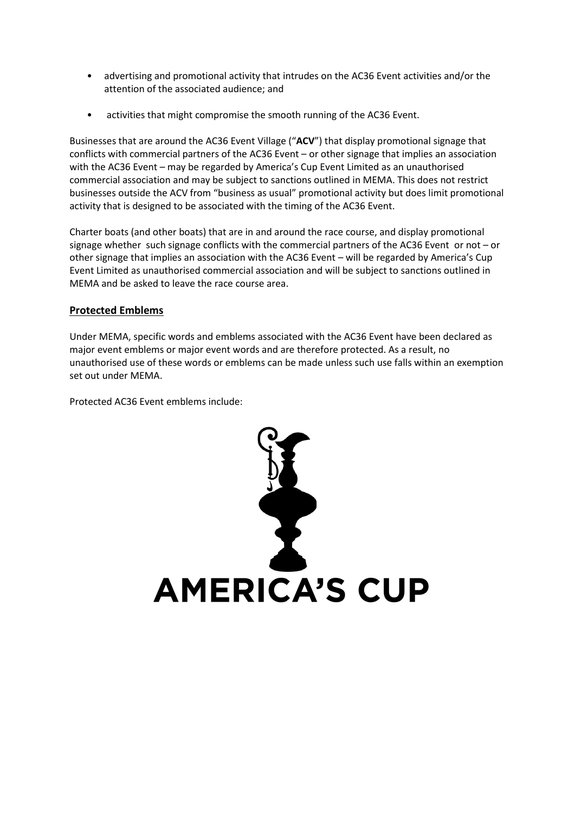- advertising and promotional activity that intrudes on the AC36 Event activities and/or the attention of the associated audience; and
- activities that might compromise the smooth running of the AC36 Event.

Businesses that are around the AC36 Event Village ("**ACV**") that display promotional signage that conflicts with commercial partners of the AC36 Event – or other signage that implies an association with the AC36 Event – may be regarded by America's Cup Event Limited as an unauthorised commercial association and may be subject to sanctions outlined in MEMA. This does not restrict businesses outside the ACV from "business as usual" promotional activity but does limit promotional activity that is designed to be associated with the timing of the AC36 Event.

Charter boats (and other boats) that are in and around the race course, and display promotional signage whether such signage conflicts with the commercial partners of the AC36 Event or not – or other signage that implies an association with the AC36 Event – will be regarded by America's Cup Event Limited as unauthorised commercial association and will be subject to sanctions outlined in MEMA and be asked to leave the race course area.

# **Protected Emblems**

Under MEMA, specific words and emblems associated with the AC36 Event have been declared as major event emblems or major event words and are therefore protected. As a result, no unauthorised use of these words or emblems can be made unless such use falls within an exemption set out under MEMA.

Protected AC36 Event emblems include:

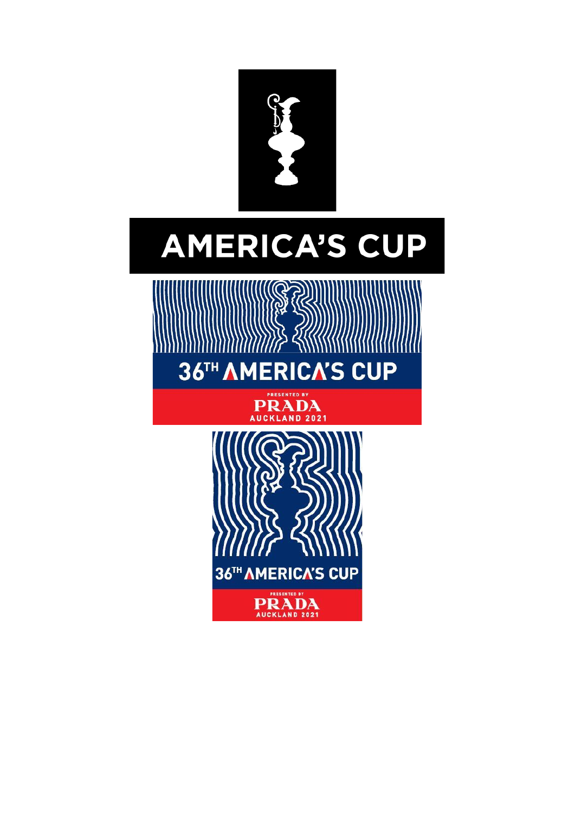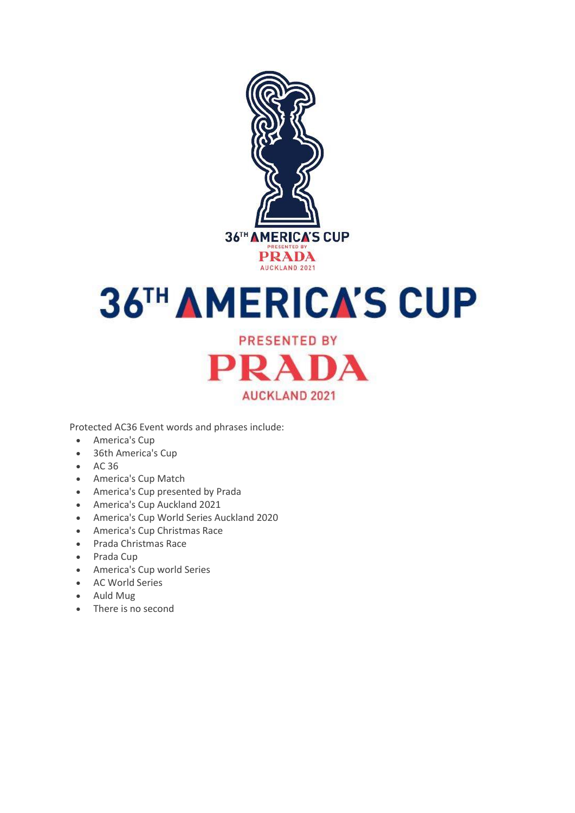

# **36TH AMERICA'S CUP**

**PRESENTED BY** PRADA **AUCKLAND 2021** 

Protected AC36 Event words and phrases include:

- America's Cup
- 36th America's Cup
- AC 36
- America's Cup Match
- America's Cup presented by Prada
- America's Cup Auckland 2021
- America's Cup World Series Auckland 2020
- America's Cup Christmas Race
- Prada Christmas Race
- Prada Cup
- America's Cup world Series
- AC World Series
- Auld Mug
- There is no second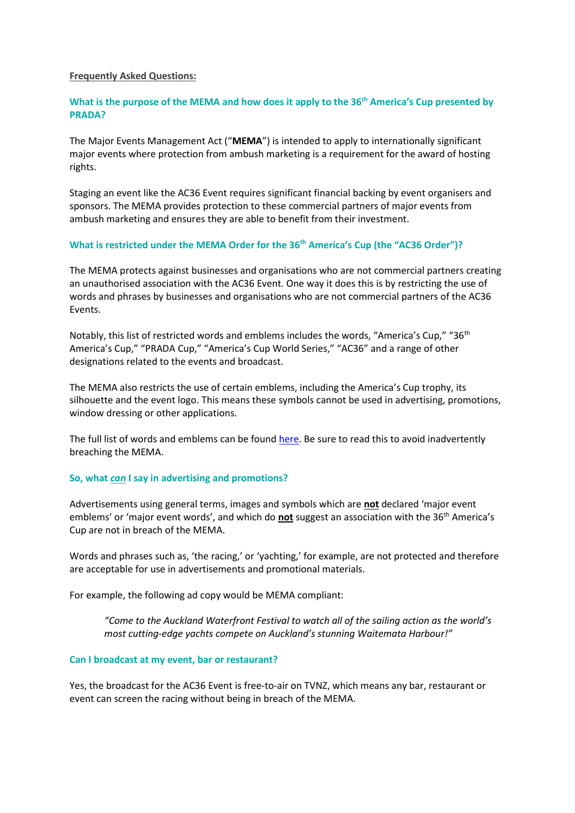#### **Frequently Asked Questions:**

#### **What is the purpose of the MEMA and how does it apply to the 36th America's Cup presented by PRADA?**

The Major Events Management Act ("**MEMA**") is intended to apply to internationally significant major events where protection from ambush marketing is a requirement for the award of hosting rights.

Staging an event like the AC36 Event requires significant financial backing by event organisers and sponsors. The MEMA provides protection to these commercial partners of major events from ambush marketing and ensures they are able to benefit from their investment.

#### **What is restricted under the MEMA Order for the 36th America's Cup (the "AC36 Order")?**

The MEMA protects against businesses and organisations who are not commercial partners creating an unauthorised association with the AC36 Event. One way it does this is by restricting the use of words and phrases by businesses and organisations who are not commercial partners of the AC36 Events.

Notably, this list of restricted words and emblems includes the words, "America's Cup," "36<sup>th</sup> America's Cup," "PRADA Cup," "America's Cup World Series," "AC36" and a range of other designations related to the events and broadcast.

The MEMA also restricts the use of certain emblems, including the America's Cup trophy, its silhouette and the event logo. This means these symbols cannot be used in advertising, promotions, window dressing or other applications.

The full list of words and emblems can be found [here.](http://www.legislation.govt.nz/regulation/public/2020/0189/6.0/whole.html) Be sure to read this to avoid inadvertently breaching the MEMA.

#### **So, what** *can* **I say in advertising and promotions?**

Advertisements using general terms, images and symbols which are **not** declared 'major event emblems' or 'major event words', and which do **not** suggest an association with the 36<sup>th</sup> America's Cup are not in breach of the MEMA.

Words and phrases such as, 'the racing,' or 'yachting,' for example, are not protected and therefore are acceptable for use in advertisements and promotional materials.

For example, the following ad copy would be MEMA compliant:

*"Come to the Auckland Waterfront Festival to watch all of the sailing action as the world's most cutting-edge yachts compete on Auckland's stunning Waitemata Harbour!"* 

#### **Can I broadcast at my event, bar or restaurant?**

Yes, the broadcast for the AC36 Event is free-to-air on TVNZ, which means any bar, restaurant or event can screen the racing without being in breach of the MEMA.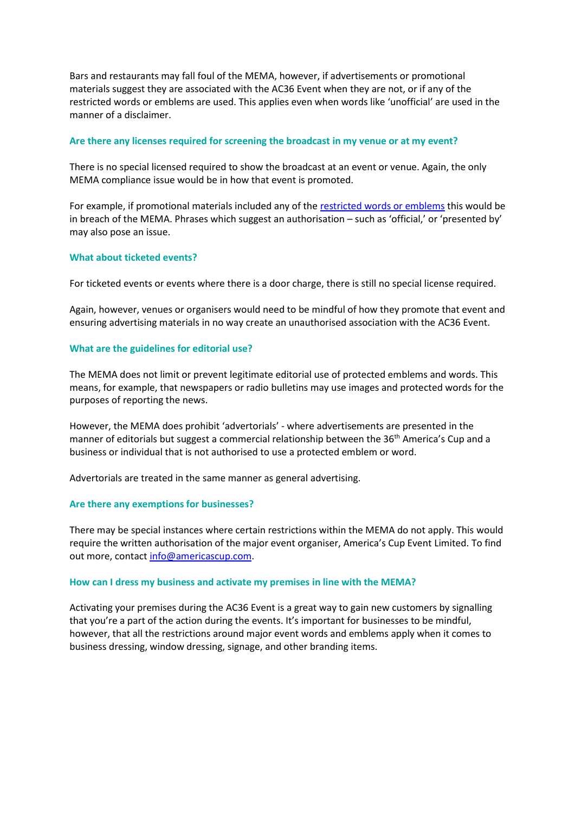Bars and restaurants may fall foul of the MEMA, however, if advertisements or promotional materials suggest they are associated with the AC36 Event when they are not, or if any of the restricted words or emblems are used. This applies even when words like 'unofficial' are used in the manner of a disclaimer.

#### **Are there any licenses required for screening the broadcast in my venue or at my event?**

There is no special licensed required to show the broadcast at an event or venue. Again, the only MEMA compliance issue would be in how that event is promoted.

For example, if promotional materials included any of the [restricted words or emblems](http://www.legislation.govt.nz/regulation/public/2020/0189/6.0/whole.html) this would be in breach of the MEMA. Phrases which suggest an authorisation – such as 'official,' or 'presented by' may also pose an issue.

#### **What about ticketed events?**

For ticketed events or events where there is a door charge, there is still no special license required.

Again, however, venues or organisers would need to be mindful of how they promote that event and ensuring advertising materials in no way create an unauthorised association with the AC36 Event.

#### **What are the guidelines for editorial use?**

The MEMA does not limit or prevent legitimate editorial use of protected emblems and words. This means, for example, that newspapers or radio bulletins may use images and protected words for the purposes of reporting the news.

However, the MEMA does prohibit 'advertorials' - where advertisements are presented in the manner of editorials but suggest a commercial relationship between the 36<sup>th</sup> America's Cup and a business or individual that is not authorised to use a protected emblem or word.

Advertorials are treated in the same manner as general advertising.

#### **Are there any exemptions for businesses?**

There may be special instances where certain restrictions within the MEMA do not apply. This would require the written authorisation of the major event organiser, America's Cup Event Limited. To find out more, contact [info@americascup.com.](mailto:info@americascup.com)

#### **How can I dress my business and activate my premises in line with the MEMA?**

Activating your premises during the AC36 Event is a great way to gain new customers by signalling that you're a part of the action during the events. It's important for businesses to be mindful, however, that all the restrictions around major event words and emblems apply when it comes to business dressing, window dressing, signage, and other branding items.